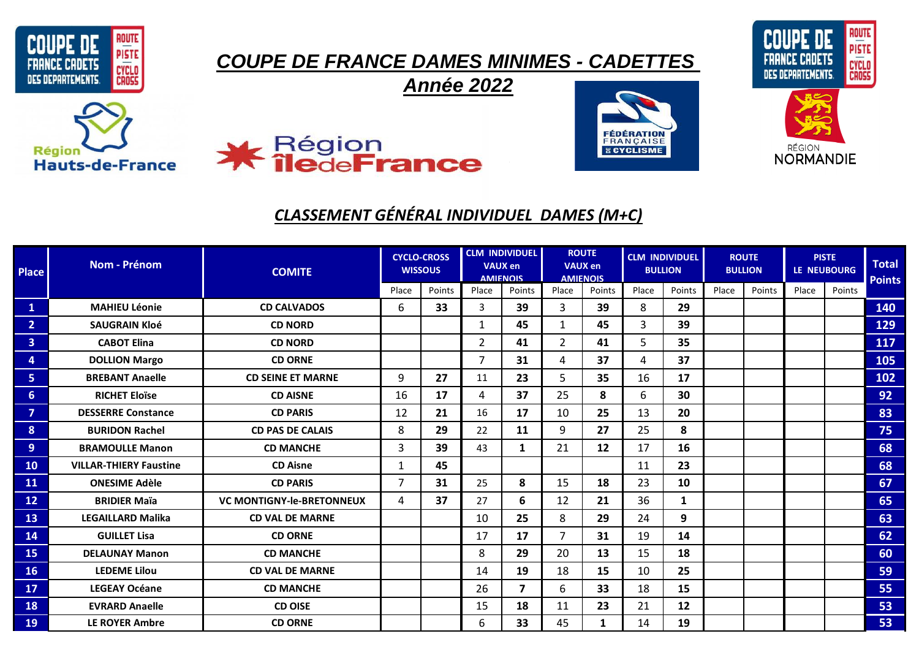



## **Région Hauts-de-France**

## **X** Région<br>**X île**de**France**

## *CLASSEMENT GÉNÉRAL INDIVIDUEL DAMES (M+C)*

*Année 2022*

| <b>Place</b>   | <b>Nom - Prénom</b>           | <b>COMITE</b>                    | <b>CYCLO-CROSS</b><br><b>WISSOUS</b> |        | <b>CLM INDIVIDUEL</b><br><b>VAUX en</b><br><b>AMIFNOIS</b> |                         | <b>ROUTE</b><br><b>VAUX en</b><br><b>AMIENOIS</b> |        | <b>CLM INDIVIDUEL</b><br><b>BULLION</b> |              | <b>ROUTE</b><br><b>BULLION</b> |        | <b>PISTE</b><br>LE NEUBOURG |        | <b>Total</b><br><b>Points</b> |
|----------------|-------------------------------|----------------------------------|--------------------------------------|--------|------------------------------------------------------------|-------------------------|---------------------------------------------------|--------|-----------------------------------------|--------------|--------------------------------|--------|-----------------------------|--------|-------------------------------|
|                |                               |                                  | Place                                | Points | Place                                                      | Points                  | Place                                             | Points | Place                                   | Points       | Place                          | Points | Place                       | Points |                               |
| $\mathbf{1}$   | <b>MAHIEU Léonie</b>          | <b>CD CALVADOS</b>               | 6                                    | 33     | 3                                                          | 39                      | $\overline{3}$                                    | 39     | 8                                       | 29           |                                |        |                             |        | 140                           |
| 2 <sup>1</sup> | <b>SAUGRAIN Kloé</b>          | <b>CD NORD</b>                   |                                      |        | 1                                                          | 45                      | $\mathbf{1}$                                      | 45     | 3                                       | 39           |                                |        |                             |        | 129                           |
| 3 <sup>1</sup> | <b>CABOT Elina</b>            | <b>CD NORD</b>                   |                                      |        | $\overline{2}$                                             | 41                      | $2^{\circ}$                                       | 41     | 5                                       | 35           |                                |        |                             |        | 117                           |
| 4              | <b>DOLLION Margo</b>          | <b>CD ORNE</b>                   |                                      |        | $\overline{7}$                                             | 31                      | 4                                                 | 37     | 4                                       | 37           |                                |        |                             |        | 105                           |
| 5 <sub>1</sub> | <b>BREBANT Anaelle</b>        | <b>CD SEINE ET MARNE</b>         | 9                                    | 27     | 11                                                         | 23                      | 5                                                 | 35     | 16                                      | 17           |                                |        |                             |        | 102                           |
| 6 <sup>°</sup> | <b>RICHET Eloïse</b>          | <b>CD AISNE</b>                  | 16                                   | 17     | $\overline{a}$                                             | 37                      | 25                                                | 8      | 6                                       | 30           |                                |        |                             |        | 92                            |
| $\overline{7}$ | <b>DESSERRE Constance</b>     | <b>CD PARIS</b>                  | 12                                   | 21     | 16                                                         | 17                      | 10                                                | 25     | 13                                      | 20           |                                |        |                             |        | 83                            |
| 8              | <b>BURIDON Rachel</b>         | <b>CD PAS DE CALAIS</b>          | 8                                    | 29     | 22                                                         | 11                      | 9                                                 | 27     | 25                                      | 8            |                                |        |                             |        | 75                            |
| 9              | <b>BRAMOULLE Manon</b>        | <b>CD MANCHE</b>                 | 3                                    | 39     | 43                                                         | $\mathbf{1}$            | 21                                                | 12     | 17                                      | 16           |                                |        |                             |        | 68                            |
| <b>10</b>      | <b>VILLAR-THIERY Faustine</b> | <b>CD Aisne</b>                  | 1                                    | 45     |                                                            |                         |                                                   |        | 11                                      | 23           |                                |        |                             |        | 68                            |
| <b>11</b>      | <b>ONESIME Adèle</b>          | <b>CD PARIS</b>                  | 7                                    | 31     | 25                                                         | 8                       | 15                                                | 18     | 23                                      | 10           |                                |        |                             |        | 67                            |
| 12             | <b>BRIDIER Maïa</b>           | <b>VC MONTIGNY-le-BRETONNEUX</b> | 4                                    | 37     | 27                                                         | 6                       | 12                                                | 21     | 36                                      | $\mathbf{1}$ |                                |        |                             |        | 65                            |
| 13             | <b>LEGAILLARD Malika</b>      | <b>CD VAL DE MARNE</b>           |                                      |        | 10                                                         | 25                      | 8                                                 | 29     | 24                                      | 9            |                                |        |                             |        | 63                            |
| 14             | <b>GUILLET Lisa</b>           | <b>CD ORNE</b>                   |                                      |        | 17                                                         | 17                      | $\overline{7}$                                    | 31     | 19                                      | 14           |                                |        |                             |        | 62                            |
| <b>15</b>      | <b>DELAUNAY Manon</b>         | <b>CD MANCHE</b>                 |                                      |        | 8                                                          | 29                      | 20                                                | 13     | 15                                      | 18           |                                |        |                             |        | 60                            |
| <b>16</b>      | <b>LEDEME Lilou</b>           | <b>CD VAL DE MARNE</b>           |                                      |        | 14                                                         | 19                      | 18                                                | 15     | 10                                      | 25           |                                |        |                             |        | 59                            |
| 17             | <b>LEGEAY Océane</b>          | <b>CD MANCHE</b>                 |                                      |        | 26                                                         | $\overline{\mathbf{z}}$ | 6                                                 | 33     | 18                                      | 15           |                                |        |                             |        | 55                            |
| 18             | <b>EVRARD Anaelle</b>         | <b>CD OISE</b>                   |                                      |        | 15                                                         | 18                      | 11                                                | 23     | 21                                      | 12           |                                |        |                             |        | 53                            |
| 19             | <b>LE ROYER Ambre</b>         | <b>CD ORNE</b>                   |                                      |        | 6                                                          | 33                      | 45                                                |        | 14                                      | 19           |                                |        |                             |        | 53                            |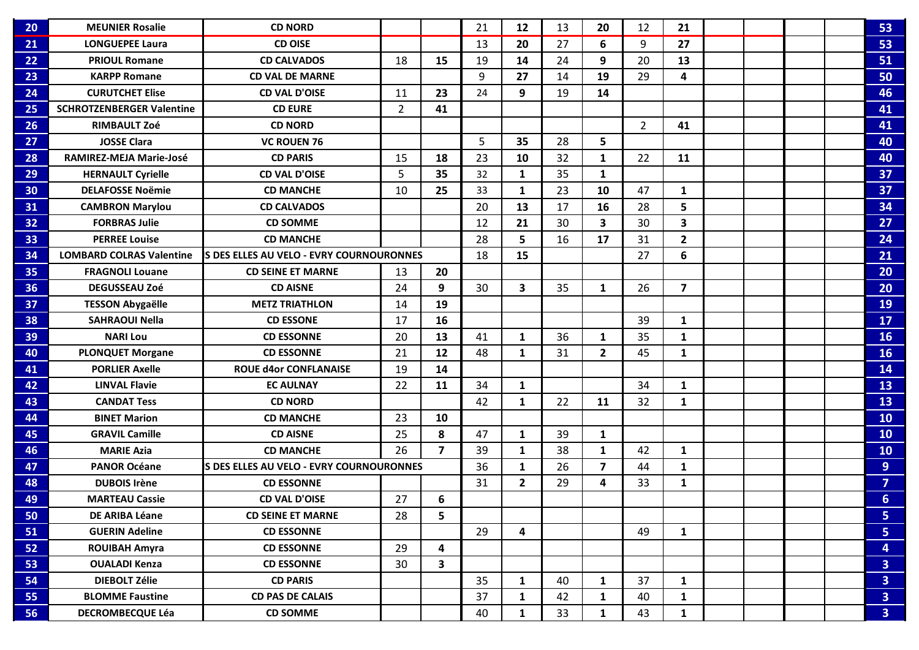| 20 | <b>MEUNIER Rosalie</b>           | <b>CD NORD</b>                           |                |                         | 21 | 12             | 13 | 20                      | 12             | 21                      |  |  | 53                      |
|----|----------------------------------|------------------------------------------|----------------|-------------------------|----|----------------|----|-------------------------|----------------|-------------------------|--|--|-------------------------|
| 21 | <b>LONGUEPEE Laura</b>           | <b>CD OISE</b>                           |                |                         | 13 | 20             | 27 | 6                       | 9              | 27                      |  |  | 53                      |
| 22 | <b>PRIOUL Romane</b>             | <b>CD CALVADOS</b>                       | 18             | 15                      | 19 | 14             | 24 | 9                       | 20             | 13                      |  |  | 51                      |
| 23 | <b>KARPP Romane</b>              | <b>CD VAL DE MARNE</b>                   |                |                         | 9  | 27             | 14 | 19                      | 29             | 4                       |  |  | 50                      |
| 24 | <b>CURUTCHET Elise</b>           | <b>CD VAL D'OISE</b>                     | 11             | 23                      | 24 | 9              | 19 | 14                      |                |                         |  |  | 46                      |
| 25 | <b>SCHROTZENBERGER Valentine</b> | <b>CD EURE</b>                           | $\overline{2}$ | 41                      |    |                |    |                         |                |                         |  |  | 41                      |
| 26 | <b>RIMBAULT Zoé</b>              | <b>CD NORD</b>                           |                |                         |    |                |    |                         | $\overline{2}$ | 41                      |  |  | 41                      |
| 27 | <b>JOSSE Clara</b>               | <b>VC ROUEN 76</b>                       |                |                         | 5  | 35             | 28 | 5                       |                |                         |  |  | 40                      |
| 28 | RAMIREZ-MEJA Marie-José          | <b>CD PARIS</b>                          | 15             | 18                      | 23 | 10             | 32 | $\mathbf{1}$            | 22             | 11                      |  |  | 40                      |
| 29 | <b>HERNAULT Cyrielle</b>         | <b>CD VAL D'OISE</b>                     | 5              | 35                      | 32 | $\mathbf{1}$   | 35 | $\mathbf{1}$            |                |                         |  |  | 37                      |
| 30 | <b>DELAFOSSE Noëmie</b>          | <b>CD MANCHE</b>                         | 10             | 25                      | 33 | 1              | 23 | 10                      | 47             | $\mathbf{1}$            |  |  | 37                      |
| 31 | <b>CAMBRON Marylou</b>           | <b>CD CALVADOS</b>                       |                |                         | 20 | 13             | 17 | 16                      | 28             | 5                       |  |  | 34                      |
| 32 | <b>FORBRAS Julie</b>             | <b>CD SOMME</b>                          |                |                         | 12 | 21             | 30 | $\overline{\mathbf{3}}$ | 30             | $\overline{\mathbf{3}}$ |  |  | 27                      |
| 33 | <b>PERREE Louise</b>             | <b>CD MANCHE</b>                         |                |                         | 28 | 5              | 16 | 17                      | 31             | $\overline{2}$          |  |  | 24                      |
| 34 | <b>LOMBARD COLRAS Valentine</b>  | S DES ELLES AU VELO - EVRY COURNOURONNES |                |                         | 18 | 15             |    |                         | 27             | 6                       |  |  | 21                      |
| 35 | <b>FRAGNOLI Louane</b>           | <b>CD SEINE ET MARNE</b>                 | 13             | 20                      |    |                |    |                         |                |                         |  |  | 20                      |
| 36 | <b>DEGUSSEAU Zoé</b>             | <b>CD AISNE</b>                          | 24             | 9                       | 30 | 3              | 35 | $\mathbf{1}$            | 26             | $\overline{\mathbf{z}}$ |  |  | 20                      |
| 37 | <b>TESSON Abygaëlle</b>          | <b>METZ TRIATHLON</b>                    | 14             | 19                      |    |                |    |                         |                |                         |  |  | 19                      |
| 38 | <b>SAHRAOUI Nella</b>            | <b>CD ESSONE</b>                         | 17             | 16                      |    |                |    |                         | 39             | $\mathbf{1}$            |  |  | 17                      |
| 39 | <b>NARI Lou</b>                  | <b>CD ESSONNE</b>                        | 20             | 13                      | 41 | 1              | 36 | $\mathbf{1}$            | 35             | $\mathbf{1}$            |  |  | 16                      |
| 40 | <b>PLONQUET Morgane</b>          | <b>CD ESSONNE</b>                        | 21             | 12                      | 48 | $\mathbf{1}$   | 31 | $\mathbf{2}$            | 45             | $\mathbf{1}$            |  |  | 16                      |
| 41 | <b>PORLIER Axelle</b>            | <b>ROUE d4or CONFLANAISE</b>             | 19             | 14                      |    |                |    |                         |                |                         |  |  | 14                      |
| 42 | <b>LINVAL Flavie</b>             | <b>EC AULNAY</b>                         | 22             | 11                      | 34 | 1              |    |                         | 34             | $\mathbf{1}$            |  |  | 13                      |
| 43 | <b>CANDAT Tess</b>               | <b>CD NORD</b>                           |                |                         | 42 | 1              | 22 | 11                      | 32             | $\mathbf{1}$            |  |  | 13                      |
| 44 | <b>BINET Marion</b>              | <b>CD MANCHE</b>                         | 23             | 10                      |    |                |    |                         |                |                         |  |  | 10                      |
| 45 | <b>GRAVIL Camille</b>            | <b>CD AISNE</b>                          | 25             | 8                       | 47 | 1              | 39 | $\mathbf{1}$            |                |                         |  |  | 10                      |
| 46 | <b>MARIE Azia</b>                | <b>CD MANCHE</b>                         | 26             | $\overline{\mathbf{z}}$ | 39 | 1              | 38 | $\mathbf{1}$            | 42             | $\mathbf{1}$            |  |  | 10                      |
| 47 | <b>PANOR Océane</b>              | S DES ELLES AU VELO - EVRY COURNOURONNES |                |                         | 36 | 1              | 26 | $\overline{\mathbf{z}}$ | 44             | $\mathbf{1}$            |  |  | 9 <sup>°</sup>          |
| 48 | <b>DUBOIS Irène</b>              | <b>CD ESSONNE</b>                        |                |                         | 31 | $\overline{2}$ | 29 | 4                       | 33             | $\mathbf{1}$            |  |  | $\overline{7}$          |
| 49 | <b>MARTEAU Cassie</b>            | <b>CD VAL D'OISE</b>                     | 27             | 6                       |    |                |    |                         |                |                         |  |  | 6 <sup>1</sup>          |
| 50 | DE ARIBA Léane                   | <b>CD SEINE ET MARNE</b>                 | 28             | 5                       |    |                |    |                         |                |                         |  |  | 5                       |
| 51 | <b>GUERIN Adeline</b>            | <b>CD ESSONNE</b>                        |                |                         | 29 | 4              |    |                         | 49             | $\mathbf{1}$            |  |  | 5                       |
| 52 | <b>ROUIBAH Amyra</b>             | <b>CD ESSONNE</b>                        | 29             | 4                       |    |                |    |                         |                |                         |  |  | 4                       |
| 53 | <b>OUALADI Kenza</b>             | <b>CD ESSONNE</b>                        | 30             | $\overline{\mathbf{3}}$ |    |                |    |                         |                |                         |  |  | $\overline{\mathbf{3}}$ |
| 54 | <b>DIEBOLT Zélie</b>             | <b>CD PARIS</b>                          |                |                         | 35 | 1              | 40 | $\mathbf{1}$            | 37             | $\mathbf{1}$            |  |  | $\overline{\mathbf{3}}$ |
| 55 | <b>BLOMME Faustine</b>           | <b>CD PAS DE CALAIS</b>                  |                |                         | 37 | $\mathbf{1}$   | 42 | $\mathbf{1}$            | 40             | $\mathbf{1}$            |  |  | $\overline{\mathbf{3}}$ |
| 56 | <b>DECROMBECQUE Léa</b>          | <b>CD SOMME</b>                          |                |                         | 40 | 1              | 33 | 1                       | 43             | $\mathbf{1}$            |  |  | 3 <sup>1</sup>          |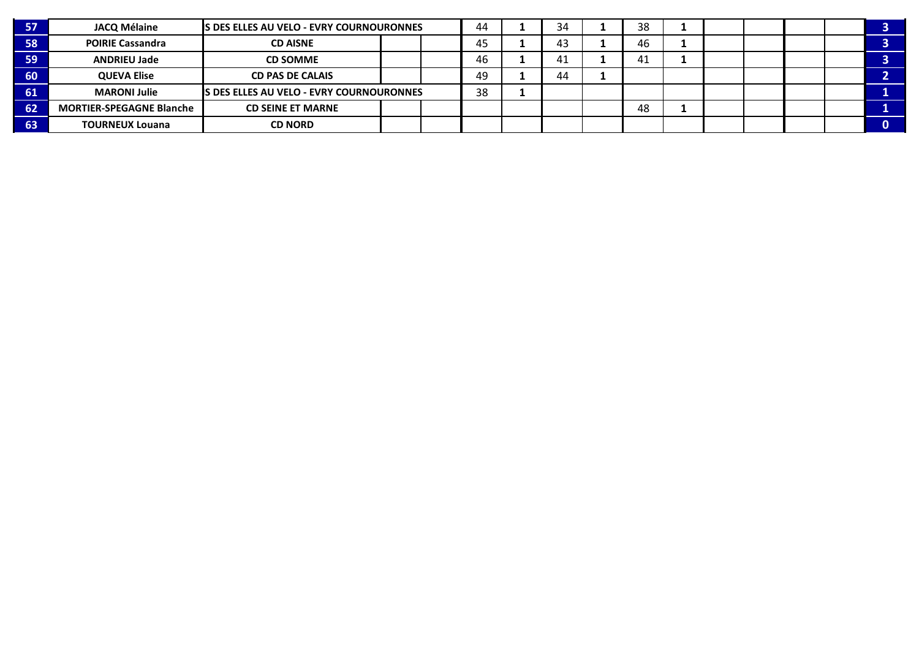| 57/             | <b>JACQ Mélaine</b>             | IS DES ELLES AU VELO - EVRY COURNOURONNES |  | 44 | 34 | 38 |     |  |  |  |
|-----------------|---------------------------------|-------------------------------------------|--|----|----|----|-----|--|--|--|
| 58              | <b>POIRIE Cassandra</b>         | <b>CD AISNE</b>                           |  |    | 45 | 43 | 46  |  |  |  |
| $\overline{59}$ | <b>ANDRIEU Jade</b>             | <b>CD SOMME</b>                           |  |    | 46 | 41 | -41 |  |  |  |
| $-60/$          | <b>QUEVA Elise</b>              | <b>CD PAS DE CALAIS</b>                   |  |    | 49 | 44 |     |  |  |  |
| $-61$           | <b>MARONI Julie</b>             | IS DES ELLES AU VELO - EVRY COURNOURONNES |  |    | 38 |    |     |  |  |  |
| 62              | <b>MORTIER-SPEGAGNE Blanche</b> | <b>CD SEINE ET MARNE</b>                  |  |    |    |    | 48  |  |  |  |
| $-63$           | <b>TOURNEUX Louana</b>          | <b>CD NORD</b>                            |  |    |    |    |     |  |  |  |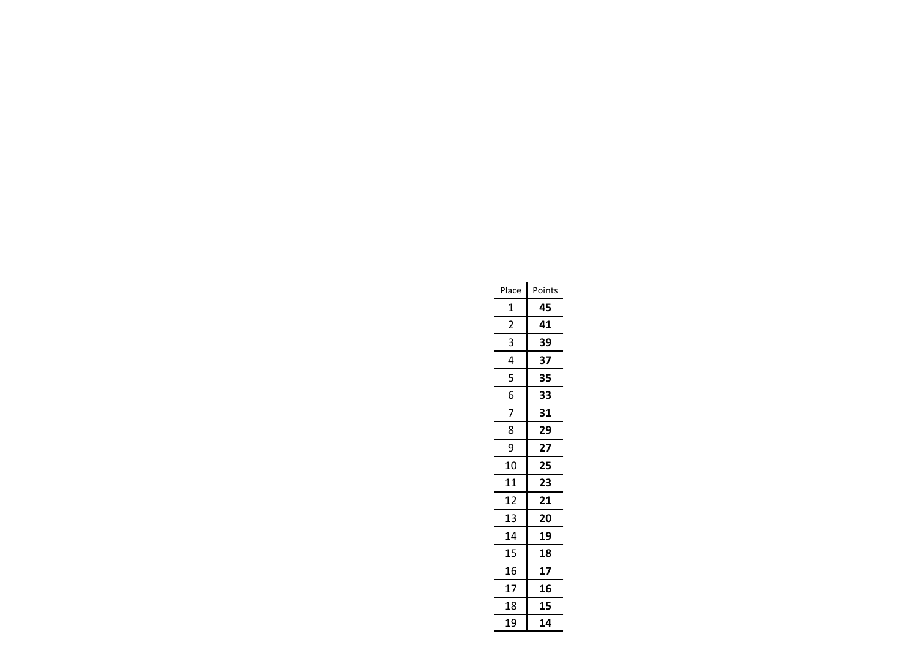| Place          | Points |
|----------------|--------|
| 1              | 45     |
| $\overline{2}$ | 41     |
| 3              | 39     |
| 4              | 37     |
| 5              | 35     |
| 6              | 33     |
| 7              | 31     |
| 8              | 29     |
| ٩              | 27     |
| 10             | 25     |
| 11             | 23     |
| 12             | 21     |
| 13             | 20     |
| 14             | 19     |
| 15             | 18     |
| 16             | 17     |
| 17             | 16     |
| 18             | 15     |
| 19             | 14     |